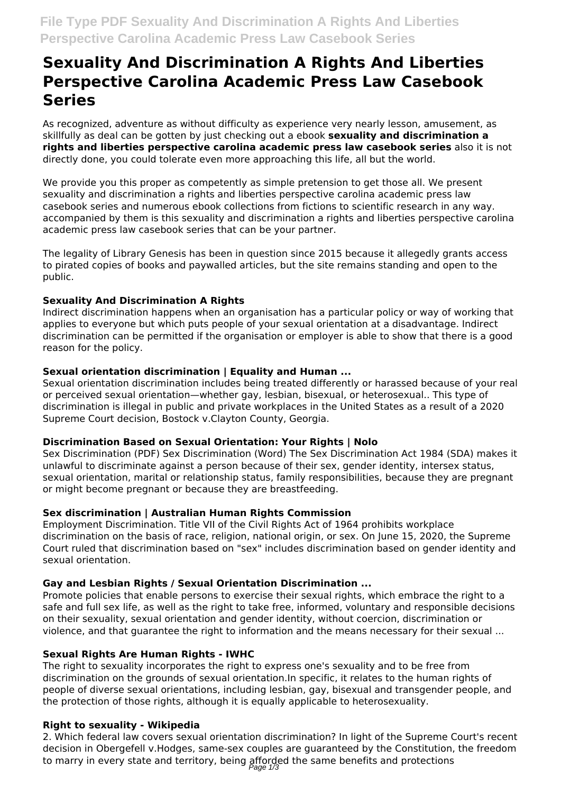# **Sexuality And Discrimination A Rights And Liberties Perspective Carolina Academic Press Law Casebook Series**

As recognized, adventure as without difficulty as experience very nearly lesson, amusement, as skillfully as deal can be gotten by just checking out a ebook **sexuality and discrimination a rights and liberties perspective carolina academic press law casebook series** also it is not directly done, you could tolerate even more approaching this life, all but the world.

We provide you this proper as competently as simple pretension to get those all. We present sexuality and discrimination a rights and liberties perspective carolina academic press law casebook series and numerous ebook collections from fictions to scientific research in any way. accompanied by them is this sexuality and discrimination a rights and liberties perspective carolina academic press law casebook series that can be your partner.

The legality of Library Genesis has been in question since 2015 because it allegedly grants access to pirated copies of books and paywalled articles, but the site remains standing and open to the public.

## **Sexuality And Discrimination A Rights**

Indirect discrimination happens when an organisation has a particular policy or way of working that applies to everyone but which puts people of your sexual orientation at a disadvantage. Indirect discrimination can be permitted if the organisation or employer is able to show that there is a good reason for the policy.

## **Sexual orientation discrimination | Equality and Human ...**

Sexual orientation discrimination includes being treated differently or harassed because of your real or perceived sexual orientation—whether gay, lesbian, bisexual, or heterosexual.. This type of discrimination is illegal in public and private workplaces in the United States as a result of a 2020 Supreme Court decision, Bostock v.Clayton County, Georgia.

### **Discrimination Based on Sexual Orientation: Your Rights | Nolo**

Sex Discrimination (PDF) Sex Discrimination (Word) The Sex Discrimination Act 1984 (SDA) makes it unlawful to discriminate against a person because of their sex, gender identity, intersex status, sexual orientation, marital or relationship status, family responsibilities, because they are pregnant or might become pregnant or because they are breastfeeding.

# **Sex discrimination | Australian Human Rights Commission**

Employment Discrimination. Title VII of the Civil Rights Act of 1964 prohibits workplace discrimination on the basis of race, religion, national origin, or sex. On June 15, 2020, the Supreme Court ruled that discrimination based on "sex" includes discrimination based on gender identity and sexual orientation.

# **Gay and Lesbian Rights / Sexual Orientation Discrimination ...**

Promote policies that enable persons to exercise their sexual rights, which embrace the right to a safe and full sex life, as well as the right to take free, informed, voluntary and responsible decisions on their sexuality, sexual orientation and gender identity, without coercion, discrimination or violence, and that guarantee the right to information and the means necessary for their sexual ...

# **Sexual Rights Are Human Rights - IWHC**

The right to sexuality incorporates the right to express one's sexuality and to be free from discrimination on the grounds of sexual orientation.In specific, it relates to the human rights of people of diverse sexual orientations, including lesbian, gay, bisexual and transgender people, and the protection of those rights, although it is equally applicable to heterosexuality.

### **Right to sexuality - Wikipedia**

2. Which federal law covers sexual orientation discrimination? In light of the Supreme Court's recent decision in Obergefell v.Hodges, same-sex couples are guaranteed by the Constitution, the freedom to marry in every state and territory, being afforded the same benefits and protections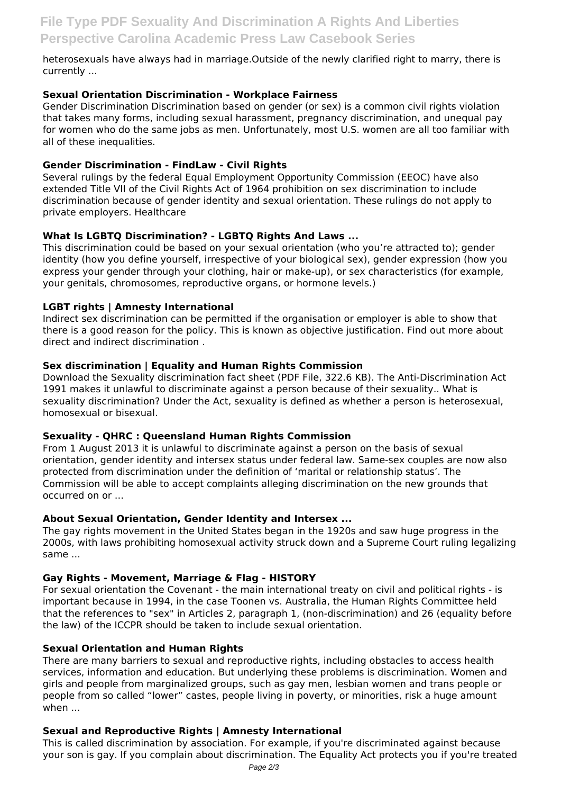heterosexuals have always had in marriage.Outside of the newly clarified right to marry, there is currently ...

## **Sexual Orientation Discrimination - Workplace Fairness**

Gender Discrimination Discrimination based on gender (or sex) is a common civil rights violation that takes many forms, including sexual harassment, pregnancy discrimination, and unequal pay for women who do the same jobs as men. Unfortunately, most U.S. women are all too familiar with all of these inequalities.

## **Gender Discrimination - FindLaw - Civil Rights**

Several rulings by the federal Equal Employment Opportunity Commission (EEOC) have also extended Title VII of the Civil Rights Act of 1964 prohibition on sex discrimination to include discrimination because of gender identity and sexual orientation. These rulings do not apply to private employers. Healthcare

## **What Is LGBTQ Discrimination? - LGBTQ Rights And Laws ...**

This discrimination could be based on your sexual orientation (who you're attracted to); gender identity (how you define yourself, irrespective of your biological sex), gender expression (how you express your gender through your clothing, hair or make-up), or sex characteristics (for example, your genitals, chromosomes, reproductive organs, or hormone levels.)

## **LGBT rights | Amnesty International**

Indirect sex discrimination can be permitted if the organisation or employer is able to show that there is a good reason for the policy. This is known as objective justification. Find out more about direct and indirect discrimination .

## **Sex discrimination | Equality and Human Rights Commission**

Download the Sexuality discrimination fact sheet (PDF File, 322.6 KB). The Anti-Discrimination Act 1991 makes it unlawful to discriminate against a person because of their sexuality.. What is sexuality discrimination? Under the Act, sexuality is defined as whether a person is heterosexual, homosexual or bisexual.

### **Sexuality - QHRC : Queensland Human Rights Commission**

From 1 August 2013 it is unlawful to discriminate against a person on the basis of sexual orientation, gender identity and intersex status under federal law. Same-sex couples are now also protected from discrimination under the definition of 'marital or relationship status'. The Commission will be able to accept complaints alleging discrimination on the new grounds that occurred on or ...

### **About Sexual Orientation, Gender Identity and Intersex ...**

The gay rights movement in the United States began in the 1920s and saw huge progress in the 2000s, with laws prohibiting homosexual activity struck down and a Supreme Court ruling legalizing same ...

### **Gay Rights - Movement, Marriage & Flag - HISTORY**

For sexual orientation the Covenant - the main international treaty on civil and political rights - is important because in 1994, in the case Toonen vs. Australia, the Human Rights Committee held that the references to "sex" in Articles 2, paragraph 1, (non-discrimination) and 26 (equality before the law) of the ICCPR should be taken to include sexual orientation.

### **Sexual Orientation and Human Rights**

There are many barriers to sexual and reproductive rights, including obstacles to access health services, information and education. But underlying these problems is discrimination. Women and girls and people from marginalized groups, such as gay men, lesbian women and trans people or people from so called "lower" castes, people living in poverty, or minorities, risk a huge amount when ...

# **Sexual and Reproductive Rights | Amnesty International**

This is called discrimination by association. For example, if you're discriminated against because your son is gay. If you complain about discrimination. The Equality Act protects you if you're treated